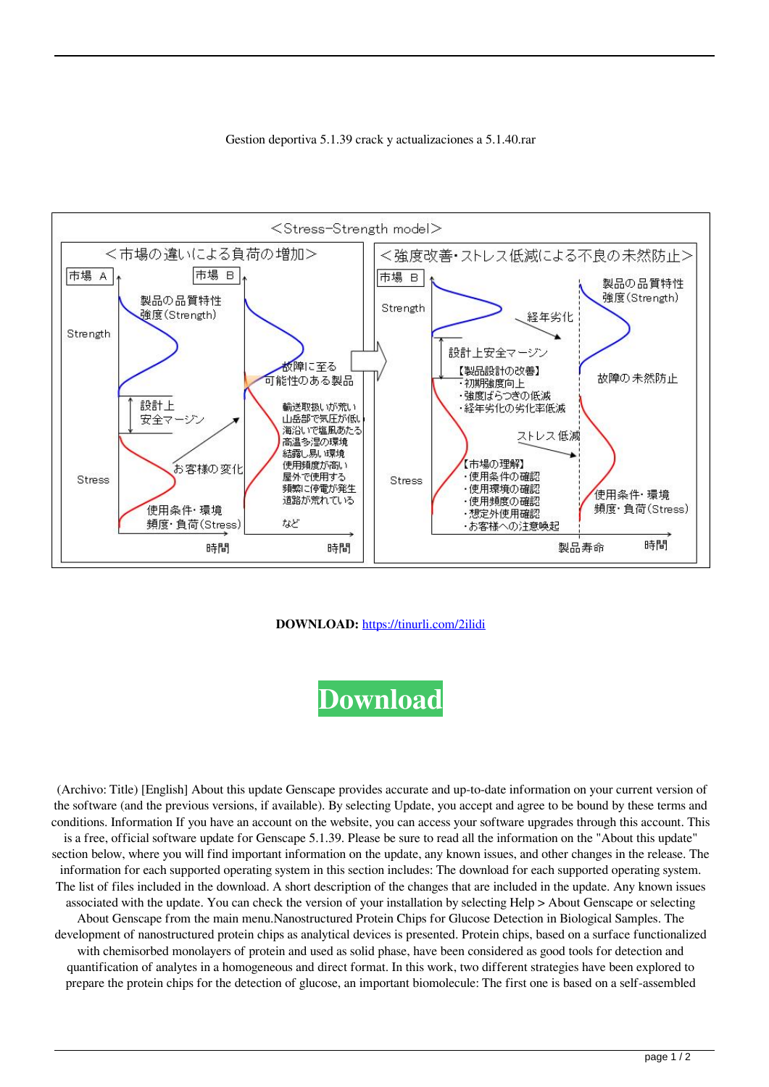



## **DOWNLOAD:** <https://tinurli.com/2ilidi>



 (Archivo: Title) [English] About this update Genscape provides accurate and up-to-date information on your current version of the software (and the previous versions, if available). By selecting Update, you accept and agree to be bound by these terms and conditions. Information If you have an account on the website, you can access your software upgrades through this account. This is a free, official software update for Genscape 5.1.39. Please be sure to read all the information on the "About this update" section below, where you will find important information on the update, any known issues, and other changes in the release. The information for each supported operating system in this section includes: The download for each supported operating system. The list of files included in the download. A short description of the changes that are included in the update. Any known issues associated with the update. You can check the version of your installation by selecting Help > About Genscape or selecting About Genscape from the main menu.Nanostructured Protein Chips for Glucose Detection in Biological Samples. The development of nanostructured protein chips as analytical devices is presented. Protein chips, based on a surface functionalized with chemisorbed monolayers of protein and used as solid phase, have been considered as good tools for detection and quantification of analytes in a homogeneous and direct format. In this work, two different strategies have been explored to prepare the protein chips for the detection of glucose, an important biomolecule: The first one is based on a self-assembled